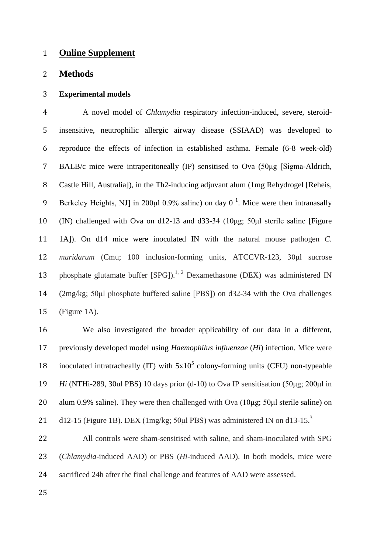# **Online Supplement**

## **Methods**

## **Experimental models**

 A novel model of *Chlamydia* respiratory infection-induced, severe, steroid- insensitive, neutrophilic allergic airway disease (SSIAAD) was developed to reproduce the effects of infection in established asthma. Female (6-8 week-old) BALB/c mice were intraperitoneally (IP) sensitised to Ova (50μg [Sigma-Aldrich, Castle Hill, Australia]), in the Th2-inducing adjuvant alum (1mg Rehydrogel [Reheis, 9 Berkeley Heights, NJ in 200 $\mu$ l 0.9% saline) on day 0<sup>1</sup>. Mice were then intranasally (IN) challenged with Ova on d12-13 and d33-34 (10μg; 50μl sterile saline [Figure 1A]). On d14 mice were inoculated IN with the natural mouse pathogen *C. muridarum* (Cmu; 100 inclusion-forming units, ATCCVR-123, 30μl sucrose 13 phosphate glutamate buffer  $[SPG]$ ).<sup>1, 2</sup> Dexamethasone (DEX) was administered IN (2mg/kg; 50μl phosphate buffered saline [PBS]) on d32-34 with the Ova challenges (Figure 1A).

 We also investigated the broader applicability of our data in a different, previously developed model using *Haemophilus influenzae* (*Hi*) infection. Mice were 18 inoculated intratracheally  $(IT)$  with  $5x10<sup>5</sup>$  colony-forming units (CFU) non-typeable *Hi* (NTHi-289, 30ul PBS) 10 days prior (d-10) to Ova IP sensitisation (50μg; 200μl in 20 alum 0.9% saline). They were then challenged with Ova (10μg; 50μl sterile saline) on d12-15 (Figure 1B). DEX (1mg/kg; 50 $\mu$ l PBS) was administered IN on d13-15.<sup>3</sup> 

 All controls were sham-sensitised with saline, and sham-inoculated with SPG (*Chlamydia*-induced AAD) or PBS (*Hi*-induced AAD). In both models, mice were sacrificed 24h after the final challenge and features of AAD were assessed.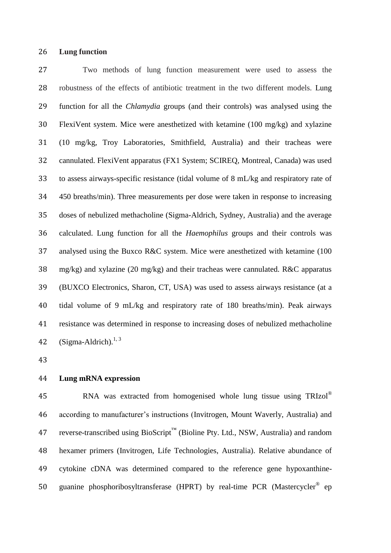## **Lung function**

 Two methods of lung function measurement were used to assess the robustness of the effects of antibiotic treatment in the two different models. Lung function for all the *Chlamydia* groups (and their controls) was analysed using the FlexiVent system. Mice were anesthetized with ketamine (100 mg/kg) and xylazine (10 mg/kg, Troy Laboratories, Smithfield, Australia) and their tracheas were cannulated. FlexiVent apparatus (FX1 System; SCIREQ, Montreal, Canada) was used to assess airways-specific resistance (tidal volume of 8 mL/kg and respiratory rate of 450 breaths/min). Three measurements per dose were taken in response to increasing doses of nebulized methacholine (Sigma-Aldrich, Sydney, Australia) and the average calculated. Lung function for all the *Haemophilus* groups and their controls was analysed using the Buxco R&C system. Mice were anesthetized with ketamine (100 mg/kg) and xylazine (20 mg/kg) and their tracheas were cannulated. R&C apparatus (BUXCO Electronics, Sharon, CT, USA) was used to assess airways resistance (at a tidal volume of 9 mL/kg and respiratory rate of 180 breaths/min). Peak airways resistance was determined in response to increasing doses of nebulized methacholine (Sigma-Aldrich). $1, 3$ 

## **Lung mRNA expression**

RNA was extracted from homogenised whole lung tissue using TRIzol® according to manufacturer's instructions (Invitrogen, Mount Waverly, Australia) and reverse-transcribed using BioScript™ (Bioline Pty. Ltd., NSW, Australia) and random hexamer primers (Invitrogen, Life Technologies, Australia). Relative abundance of cytokine cDNA was determined compared to the reference gene hypoxanthine-50 guanine phosphoribosyltransferase (HPRT) by real-time PCR (Mastercycler<sup>®</sup> ep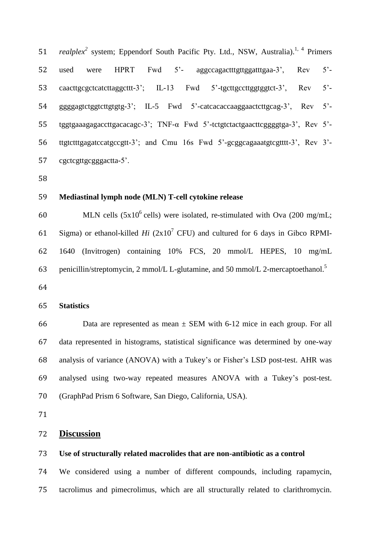51 realplex<sup>2</sup> system; Eppendorf South Pacific Pty. Ltd., NSW, Australia).<sup>1, 4</sup> Primers 52 used were HPRT Fwd 5<sup>2</sup>- aggccagactttgttggatttgaa-3<sup>2</sup>, Rev 5<sup>2</sup>- caacttgcgctcatcttaggcttt-3'; IL-13 Fwd 5'-tgcttgccttggtggtct-3', Rev 5'- ggggagtctggtcttgtgtg-3'; IL-5 Fwd 5'-catcacaccaaggaactcttgcag-3', Rev 5'- tggtgaaagagaccttgacacagc-3'; TNF-α Fwd 5'-tctgtctactgaacttcggggtga-3', Rev 5'- ttgtctttgagatccatgccgtt-3'; and Cmu 16s Fwd 5'-gcggcagaaatgtcgtttt-3', Rev 3'- cgctcgttgcgggactta-5'.

## **Mediastinal lymph node (MLN) T-cell cytokine release**

60 MLN cells  $(5x10^6 \text{ cells})$  were isolated, re-stimulated with Ova (200 mg/mL; 61 Sigma) or ethanol-killed  $Hi$   $(2x10<sup>7</sup> CFU)$  and cultured for 6 days in Gibco RPMI- 1640 (Invitrogen) containing 10% FCS, 20 mmol/L HEPES, 10 mg/mL penicillin/streptomycin, 2 mmol/L L-glutamine, and 50 mmol/L 2-mercaptoethanol.<sup>5</sup> 

#### **Statistics**

66 Data are represented as mean  $\pm$  SEM with 6-12 mice in each group. For all data represented in histograms, statistical significance was determined by one-way analysis of variance (ANOVA) with a Tukey's or Fisher's LSD post-test. AHR was analysed using two-way repeated measures ANOVA with a Tukey's post-test. (GraphPad Prism 6 Software, San Diego, California, USA).

## **Discussion**

# **Use of structurally related macrolides that are non-antibiotic as a control**

 We considered using a number of different compounds, including rapamycin, tacrolimus and pimecrolimus, which are all structurally related to clarithromycin.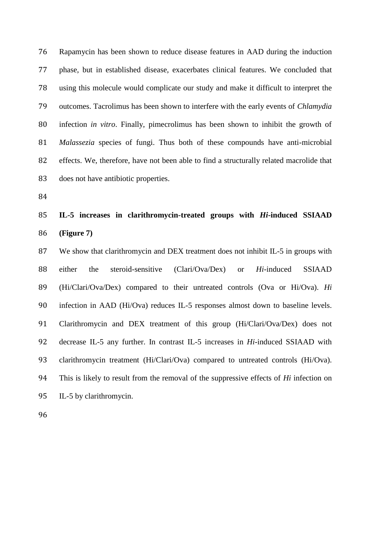Rapamycin has been shown to reduce disease features in AAD during the induction phase, but in established disease, exacerbates clinical features. We concluded that using this molecule would complicate our study and make it difficult to interpret the outcomes. Tacrolimus has been shown to interfere with the early events of *Chlamydia* infection *in vitro*. Finally, pimecrolimus has been shown to inhibit the growth of *Malassezia* species of fungi. Thus both of these compounds have anti-microbial effects. We, therefore, have not been able to find a structurally related macrolide that does not have antibiotic properties.

# **IL-5 increases in clarithromycin-treated groups with** *Hi***-induced SSIAAD (Figure 7)**

 We show that clarithromycin and DEX treatment does not inhibit IL-5 in groups with either the steroid-sensitive (Clari/Ova/Dex) or *Hi*-induced SSIAAD (Hi/Clari/Ova/Dex) compared to their untreated controls (Ova or Hi/Ova). *Hi* infection in AAD (Hi/Ova) reduces IL-5 responses almost down to baseline levels. Clarithromycin and DEX treatment of this group (Hi/Clari/Ova/Dex) does not decrease IL-5 any further. In contrast IL-5 increases in *Hi*-induced SSIAAD with clarithromycin treatment (Hi/Clari/Ova) compared to untreated controls (Hi/Ova). This is likely to result from the removal of the suppressive effects of *Hi* infection on IL-5 by clarithromycin.